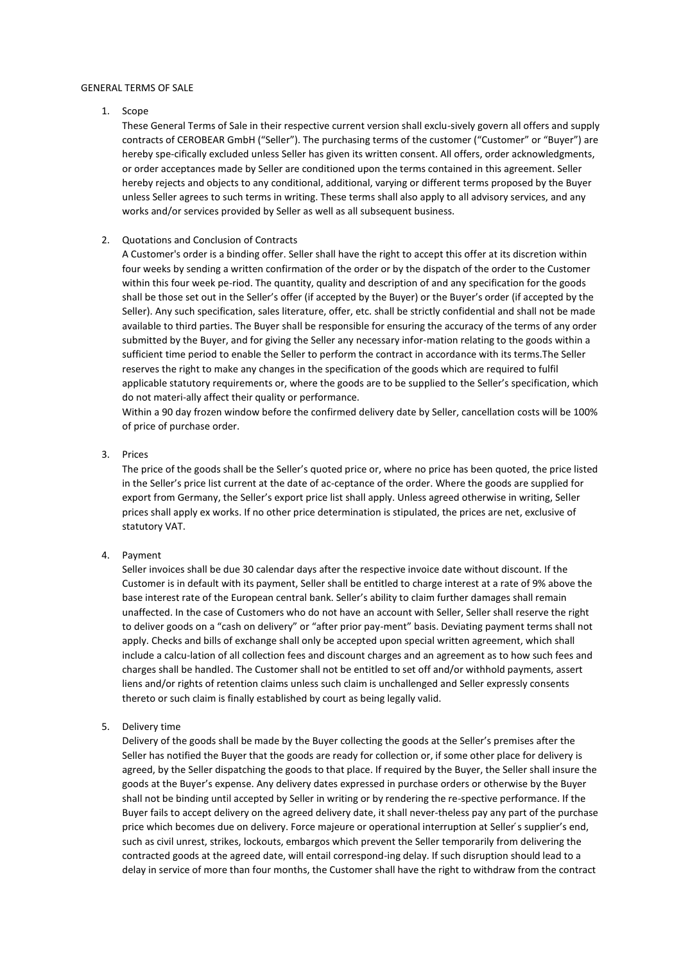#### GENERAL TERMS OF SALE

#### 1. Scope

These General Terms of Sale in their respective current version shall exclu-sively govern all offers and supply contracts of CEROBEAR GmbH ("Seller"). The purchasing terms of the customer ("Customer" or "Buyer") are hereby spe-cifically excluded unless Seller has given its written consent. All offers, order acknowledgments, or order acceptances made by Seller are conditioned upon the terms contained in this agreement. Seller hereby rejects and objects to any conditional, additional, varying or different terms proposed by the Buyer unless Seller agrees to such terms in writing. These terms shall also apply to all advisory services, and any works and/or services provided by Seller as well as all subsequent business.

## 2. Quotations and Conclusion of Contracts

A Customer's order is a binding offer. Seller shall have the right to accept this offer at its discretion within four weeks by sending a written confirmation of the order or by the dispatch of the order to the Customer within this four week pe-riod. The quantity, quality and description of and any specification for the goods shall be those set out in the Seller's offer (if accepted by the Buyer) or the Buyer's order (if accepted by the Seller). Any such specification, sales literature, offer, etc. shall be strictly confidential and shall not be made available to third parties. The Buyer shall be responsible for ensuring the accuracy of the terms of any order submitted by the Buyer, and for giving the Seller any necessary infor-mation relating to the goods within a sufficient time period to enable the Seller to perform the contract in accordance with its terms.The Seller reserves the right to make any changes in the specification of the goods which are required to fulfil applicable statutory requirements or, where the goods are to be supplied to the Seller's specification, which do not materi-ally affect their quality or performance.

Within a 90 day frozen window before the confirmed delivery date by Seller, cancellation costs will be 100% of price of purchase order.

## 3. Prices

The price of the goods shall be the Seller's quoted price or, where no price has been quoted, the price listed in the Seller's price list current at the date of ac-ceptance of the order. Where the goods are supplied for export from Germany, the Seller's export price list shall apply. Unless agreed otherwise in writing, Seller prices shall apply ex works. If no other price determination is stipulated, the prices are net, exclusive of statutory VAT.

## 4. Payment

Seller invoices shall be due 30 calendar days after the respective invoice date without discount. If the Customer is in default with its payment, Seller shall be entitled to charge interest at a rate of 9% above the base interest rate of the European central bank. Seller's ability to claim further damages shall remain unaffected. In the case of Customers who do not have an account with Seller, Seller shall reserve the right to deliver goods on a "cash on delivery" or "after prior pay-ment" basis. Deviating payment terms shall not apply. Checks and bills of exchange shall only be accepted upon special written agreement, which shall include a calcu-lation of all collection fees and discount charges and an agreement as to how such fees and charges shall be handled. The Customer shall not be entitled to set off and/or withhold payments, assert liens and/or rights of retention claims unless such claim is unchallenged and Seller expressly consents thereto or such claim is finally established by court as being legally valid.

## 5. Delivery time

Delivery of the goods shall be made by the Buyer collecting the goods at the Seller's premises after the Seller has notified the Buyer that the goods are ready for collection or, if some other place for delivery is agreed, by the Seller dispatching the goods to that place. If required by the Buyer, the Seller shall insure the goods at the Buyer's expense. Any delivery dates expressed in purchase orders or otherwise by the Buyer shall not be binding until accepted by Seller in writing or by rendering the re-spective performance. If the Buyer fails to accept delivery on the agreed delivery date, it shall never-theless pay any part of the purchase price which becomes due on delivery. Force majeure or operational interruption at Seller's supplier's end, such as civil unrest, strikes, lockouts, embargos which prevent the Seller temporarily from delivering the contracted goods at the agreed date, will entail correspond-ing delay. If such disruption should lead to a delay in service of more than four months, the Customer shall have the right to withdraw from the contract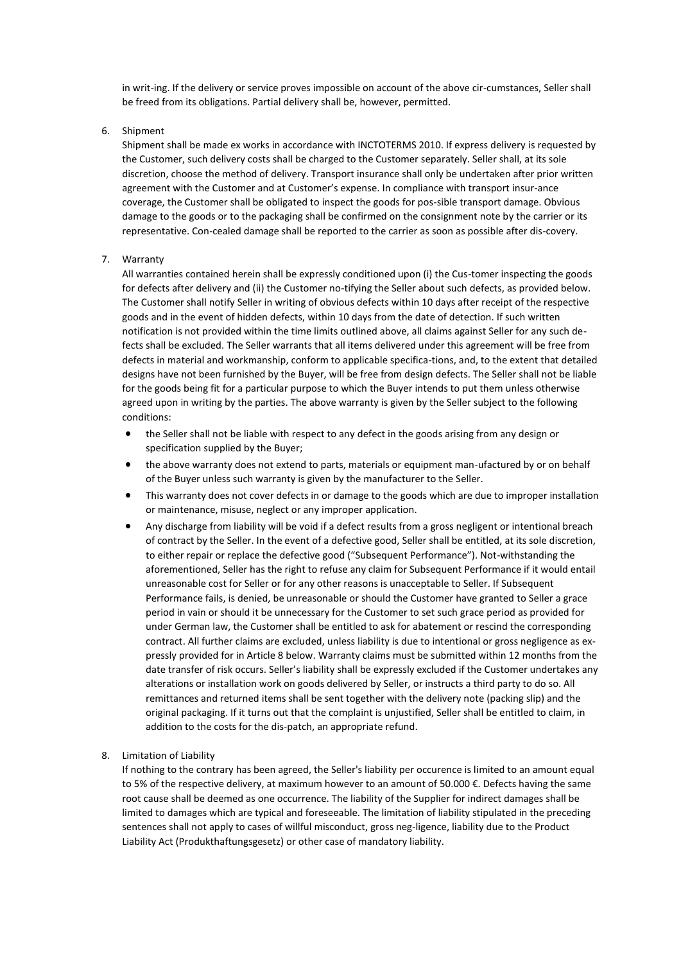in writ-ing. If the delivery or service proves impossible on account of the above cir-cumstances, Seller shall be freed from its obligations. Partial delivery shall be, however, permitted.

6. Shipment

Shipment shall be made ex works in accordance with INCTOTERMS 2010. If express delivery is requested by the Customer, such delivery costs shall be charged to the Customer separately. Seller shall, at its sole discretion, choose the method of delivery. Transport insurance shall only be undertaken after prior written agreement with the Customer and at Customer's expense. In compliance with transport insur-ance coverage, the Customer shall be obligated to inspect the goods for pos-sible transport damage. Obvious damage to the goods or to the packaging shall be confirmed on the consignment note by the carrier or its representative. Con-cealed damage shall be reported to the carrier as soon as possible after dis-covery.

# 7. Warranty

All warranties contained herein shall be expressly conditioned upon (i) the Cus-tomer inspecting the goods for defects after delivery and (ii) the Customer no-tifying the Seller about such defects, as provided below. The Customer shall notify Seller in writing of obvious defects within 10 days after receipt of the respective goods and in the event of hidden defects, within 10 days from the date of detection. If such written notification is not provided within the time limits outlined above, all claims against Seller for any such defects shall be excluded. The Seller warrants that all items delivered under this agreement will be free from defects in material and workmanship, conform to applicable specifica-tions, and, to the extent that detailed designs have not been furnished by the Buyer, will be free from design defects. The Seller shall not be liable for the goods being fit for a particular purpose to which the Buyer intends to put them unless otherwise agreed upon in writing by the parties. The above warranty is given by the Seller subject to the following conditions:

- the Seller shall not be liable with respect to any defect in the goods arising from any design or specification supplied by the Buyer;
- the above warranty does not extend to parts, materials or equipment man-ufactured by or on behalf of the Buyer unless such warranty is given by the manufacturer to the Seller.
- This warranty does not cover defects in or damage to the goods which are due to improper installation or maintenance, misuse, neglect or any improper application.
- Any discharge from liability will be void if a defect results from a gross negligent or intentional breach of contract by the Seller. In the event of a defective good, Seller shall be entitled, at its sole discretion, to either repair or replace the defective good ("Subsequent Performance"). Not-withstanding the aforementioned, Seller has the right to refuse any claim for Subsequent Performance if it would entail unreasonable cost for Seller or for any other reasons is unacceptable to Seller. If Subsequent Performance fails, is denied, be unreasonable or should the Customer have granted to Seller a grace period in vain or should it be unnecessary for the Customer to set such grace period as provided for under German law, the Customer shall be entitled to ask for abatement or rescind the corresponding contract. All further claims are excluded, unless liability is due to intentional or gross negligence as expressly provided for in Article 8 below. Warranty claims must be submitted within 12 months from the date transfer of risk occurs. Seller's liability shall be expressly excluded if the Customer undertakes any alterations or installation work on goods delivered by Seller, or instructs a third party to do so. All remittances and returned items shall be sent together with the delivery note (packing slip) and the original packaging. If it turns out that the complaint is unjustified, Seller shall be entitled to claim, in addition to the costs for the dis-patch, an appropriate refund.

## 8. Limitation of Liability

If nothing to the contrary has been agreed, the Seller's liability per occurence is limited to an amount equal to 5% of the respective delivery, at maximum however to an amount of 50.000 €. Defects having the same root cause shall be deemed as one occurrence. The liability of the Supplier for indirect damages shall be limited to damages which are typical and foreseeable. The limitation of liability stipulated in the preceding sentences shall not apply to cases of willful misconduct, gross neg-ligence, liability due to the Product Liability Act (Produkthaftungsgesetz) or other case of mandatory liability.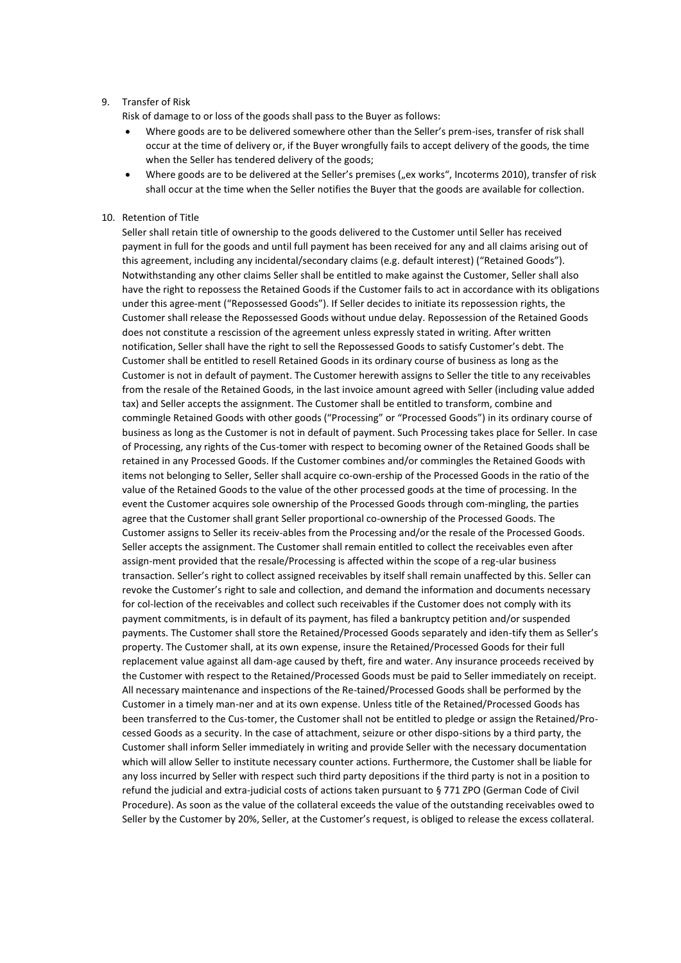## 9. Transfer of Risk

Risk of damage to or loss of the goods shall pass to the Buyer as follows:

- Where goods are to be delivered somewhere other than the Seller's prem-ises, transfer of risk shall occur at the time of delivery or, if the Buyer wrongfully fails to accept delivery of the goods, the time when the Seller has tendered delivery of the goods;
- Where goods are to be delivered at the Seller's premises ("ex works", Incoterms 2010), transfer of risk shall occur at the time when the Seller notifies the Buyer that the goods are available for collection.

## 10. Retention of Title

Seller shall retain title of ownership to the goods delivered to the Customer until Seller has received payment in full for the goods and until full payment has been received for any and all claims arising out of this agreement, including any incidental/secondary claims (e.g. default interest) ("Retained Goods"). Notwithstanding any other claims Seller shall be entitled to make against the Customer, Seller shall also have the right to repossess the Retained Goods if the Customer fails to act in accordance with its obligations under this agree-ment ("Repossessed Goods"). If Seller decides to initiate its repossession rights, the Customer shall release the Repossessed Goods without undue delay. Repossession of the Retained Goods does not constitute a rescission of the agreement unless expressly stated in writing. After written notification, Seller shall have the right to sell the Repossessed Goods to satisfy Customer's debt. The Customer shall be entitled to resell Retained Goods in its ordinary course of business as long as the Customer is not in default of payment. The Customer herewith assigns to Seller the title to any receivables from the resale of the Retained Goods, in the last invoice amount agreed with Seller (including value added tax) and Seller accepts the assignment. The Customer shall be entitled to transform, combine and commingle Retained Goods with other goods ("Processing" or "Processed Goods") in its ordinary course of business as long as the Customer is not in default of payment. Such Processing takes place for Seller. In case of Processing, any rights of the Cus-tomer with respect to becoming owner of the Retained Goods shall be retained in any Processed Goods. If the Customer combines and/or commingles the Retained Goods with items not belonging to Seller, Seller shall acquire co-own-ership of the Processed Goods in the ratio of the value of the Retained Goods to the value of the other processed goods at the time of processing. In the event the Customer acquires sole ownership of the Processed Goods through com-mingling, the parties agree that the Customer shall grant Seller proportional co-ownership of the Processed Goods. The Customer assigns to Seller its receiv-ables from the Processing and/or the resale of the Processed Goods. Seller accepts the assignment. The Customer shall remain entitled to collect the receivables even after assign-ment provided that the resale/Processing is affected within the scope of a reg-ular business transaction. Seller's right to collect assigned receivables by itself shall remain unaffected by this. Seller can revoke the Customer's right to sale and collection, and demand the information and documents necessary for col-lection of the receivables and collect such receivables if the Customer does not comply with its payment commitments, is in default of its payment, has filed a bankruptcy petition and/or suspended payments. The Customer shall store the Retained/Processed Goods separately and iden-tify them as Seller's property. The Customer shall, at its own expense, insure the Retained/Processed Goods for their full replacement value against all dam-age caused by theft, fire and water. Any insurance proceeds received by the Customer with respect to the Retained/Processed Goods must be paid to Seller immediately on receipt. All necessary maintenance and inspections of the Re-tained/Processed Goods shall be performed by the Customer in a timely man-ner and at its own expense. Unless title of the Retained/Processed Goods has been transferred to the Cus-tomer, the Customer shall not be entitled to pledge or assign the Retained/Processed Goods as a security. In the case of attachment, seizure or other dispo-sitions by a third party, the Customer shall inform Seller immediately in writing and provide Seller with the necessary documentation which will allow Seller to institute necessary counter actions. Furthermore, the Customer shall be liable for any loss incurred by Seller with respect such third party depositions if the third party is not in a position to refund the judicial and extra-judicial costs of actions taken pursuant to § 771 ZPO (German Code of Civil Procedure). As soon as the value of the collateral exceeds the value of the outstanding receivables owed to Seller by the Customer by 20%, Seller, at the Customer's request, is obliged to release the excess collateral.